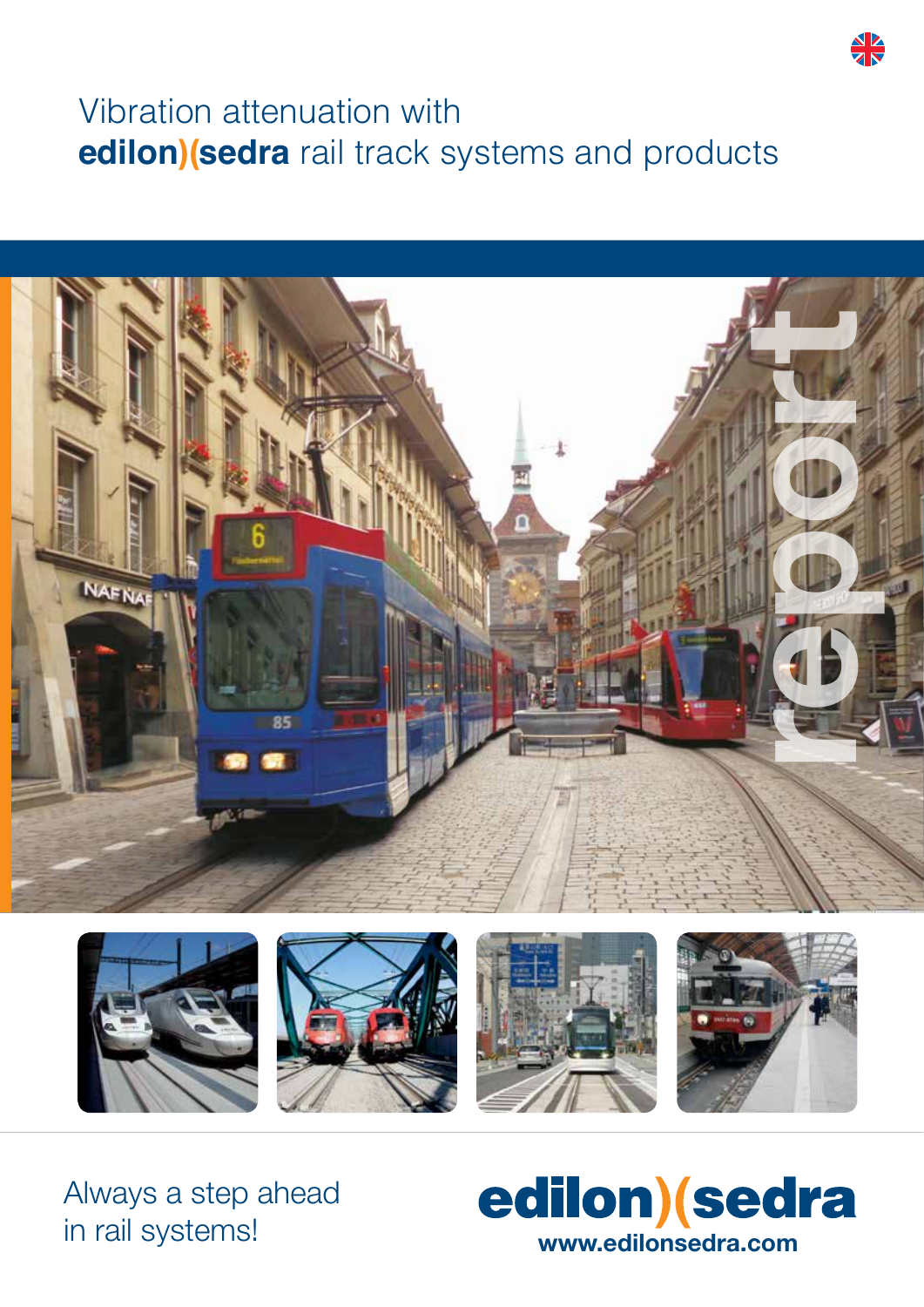# Vibration attenuation with **edilon)(sedra** rail track systems and products





Always a step ahead in rail systems!



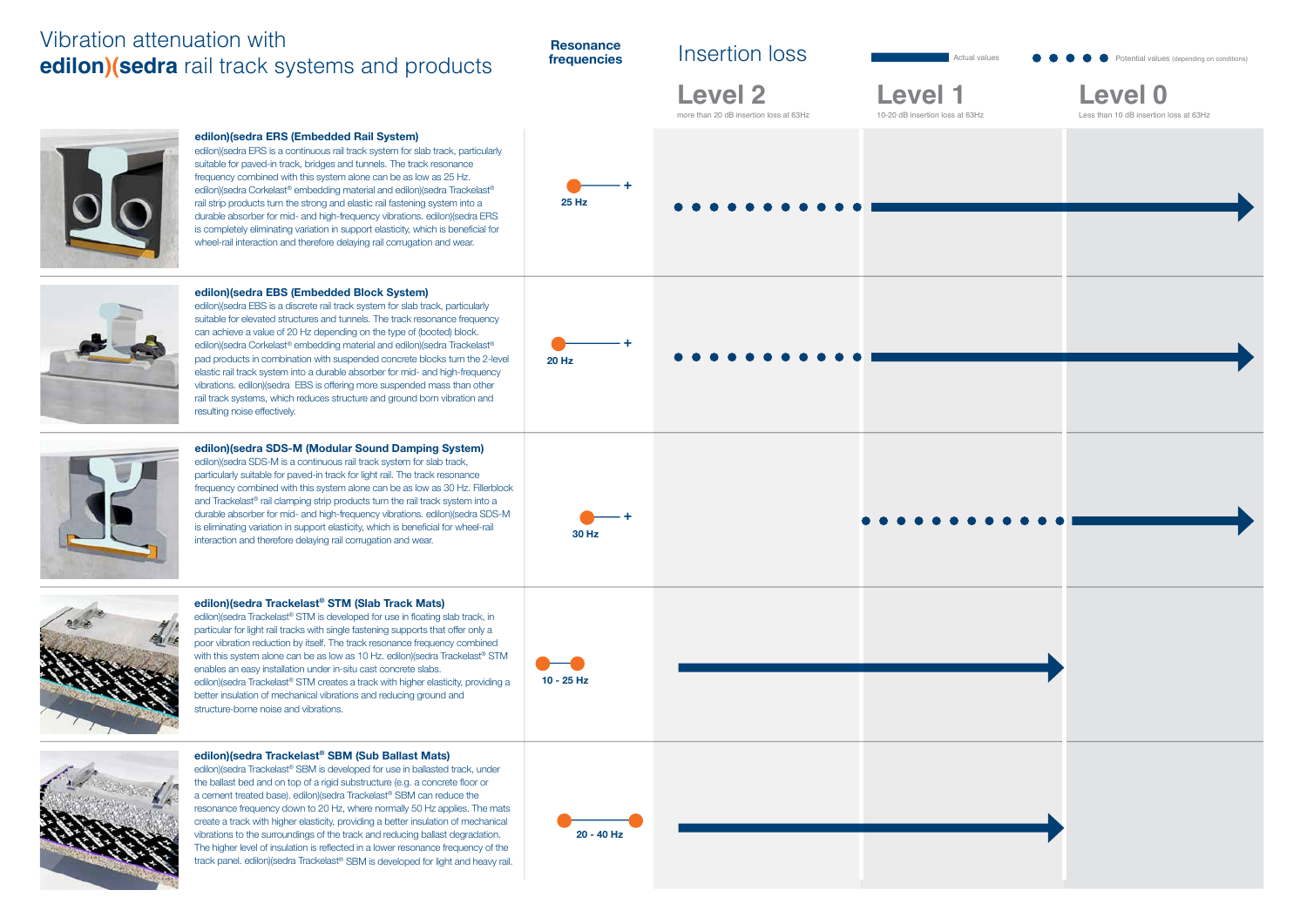#### **Resonance frequencies**

**edilon)(sedra Trackelast® SBM (Sub Ballast Mats)**  edilon)(sedra Trackelast® SBM is developed for use in ballasted track, under the ballast bed and on top of a rigid substructure (e.g. a concrete floor or a cement treated base). edilon)(sedra Trackelast® SBM can reduce the resonance frequency down to 20 Hz, where normally 50 Hz applies. The mats create a track with higher elasticity, providing a better insulation of mechanical vibrations to the surroundings of the track and reducing ballast degradation. The higher level of insulation is reflected in a lower resonance frequency of the track panel. edilon)(sedra Trackelast® SBM is developed for light and heavy rail.

**edilon)(sedra Trackelast® STM (Slab Track Mats)**  edilon)(sedra Trackelast® STM is developed for use in floating slab track, in particular for light rail tracks with single fastening supports that offer only a poor vibration reduction by itself. The track resonance frequency combined with this system alone can be as low as 10 Hz. edilon)(sedra Trackelast® STM enables an easy installation under in-situ cast concrete slabs. edilon)(sedra Trackelast® STM creates a track with higher elasticity, providing a better insulation of mechanical vibrations and reducing ground and structure-borne noise and vibrations.



## Insertion loss



**edilon)(sedra SDS-M (Modular Sound Damping System)**  edilon)(sedra SDS-M is a continuous rail track system for slab track, particularly suitable for paved-in track for light rail. The track resonance frequency combined with this system alone can be as low as 30 Hz. Fillerblock and Trackelast<sup>®</sup> rail clamping strip products turn the rail track system into a durable absorber for mid- and high-frequency vibrations. edilon)(sedra SDS-M is eliminating variation in support elasticity, which is beneficial for wheel-rail is climbialing variation in support classicity, which is behencien for which rail **30 Hz**<br>interaction and therefore delaying rail corrugation and wear. **30 Hz** 



### **edilon)(sedra ERS (Embedded Rail System)**

edilon)(sedra ERS is a continuous rail track system for slab track, particularly suitable for paved-in track, bridges and tunnels. The track resonance frequency combined with this system alone can be as low as 25 Hz. edilon)(sedra Corkelast® embedding material and edilon)(sedra Trackelast® rail strip products turn the strong and elastic rail fastening system into a durable absorber for mid- and high-frequency vibrations. edilon)(sedra ERS is completely eliminating variation in support elasticity, which is beneficial for wheel-rail interaction and therefore delaying rail corrugation and wear.





Actual values **Potential values (depending on conditions)** 



**edilon)(sedra EBS (Embedded Block System)** edilon)(sedra EBS is a discrete rail track system for slab track, particularly suitable for elevated structures and tunnels. The track resonance frequency can achieve a value of 20 Hz depending on the type of (booted) block. edilon)(sedra Corkelast® embedding material and edilon)(sedra Trackelast® pad products in combination with suspended concrete blocks turn the 2-level elastic rail track system into a durable absorber for mid- and high-frequency vibrations. edilon)(sedra EBS is offering more suspended mass than other rail track systems, which reduces structure and ground born vibration and



## Vibration attenuation with **edilon)(sedra** rail track systems and products

resulting noise effectively.